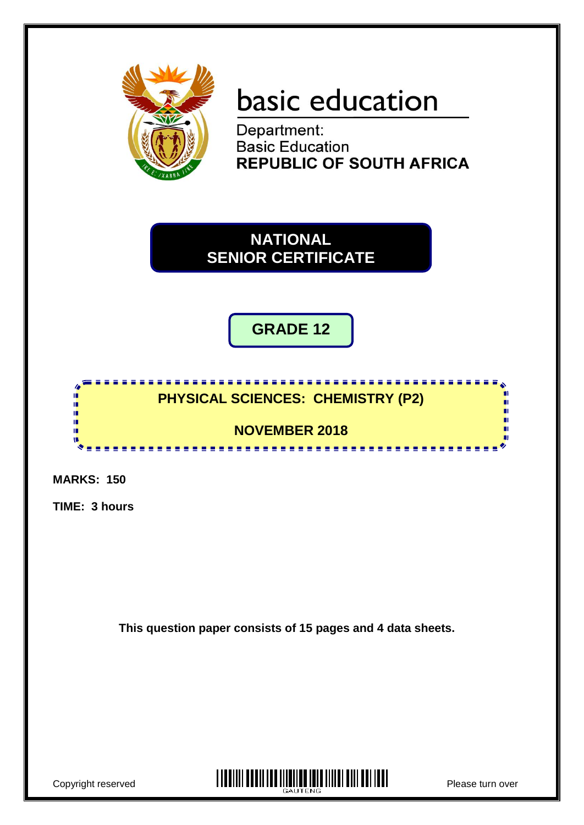

# basic education

Department: **Basic Education REPUBLIC OF SOUTH AFRICA** 

**NATIONAL SENIOR CERTIFICATE**

**GRADE 12**

<u>. . . . . . . . . . . . . . . . . .</u> **PHYSICAL SCIENCES: CHEMISTRY (P2)**

**NOVEMBER 2018**

**MARKS: 150**

ú ú τ'n,

**TIME: 3 hours**

**This question paper consists of 15 pages and 4 data sheets.**

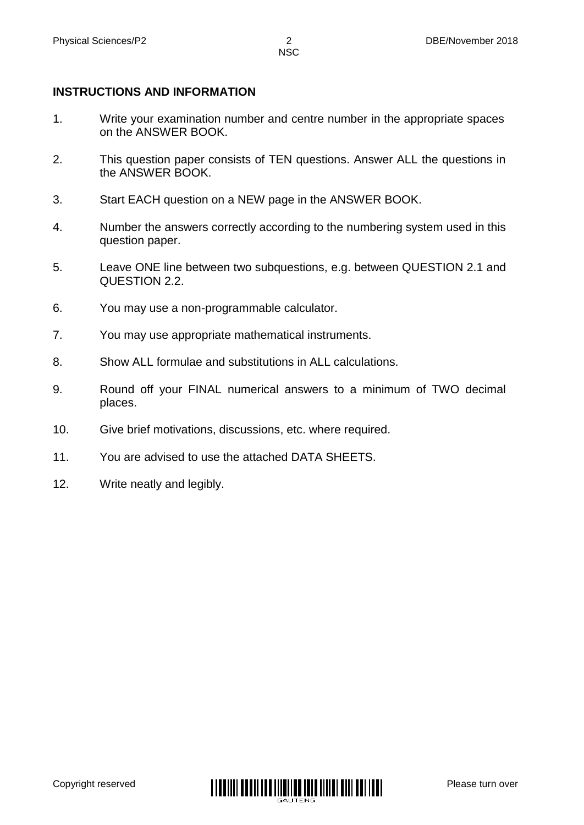#### **INSTRUCTIONS AND INFORMATION**

- 1. Write your examination number and centre number in the appropriate spaces on the ANSWER BOOK.
- 2. This question paper consists of TEN questions. Answer ALL the questions in the ANSWER BOOK.
- 3. Start EACH question on a NEW page in the ANSWER BOOK.
- 4. Number the answers correctly according to the numbering system used in this question paper.
- 5. Leave ONE line between two subquestions, e.g. between QUESTION 2.1 and QUESTION 2.2.
- 6. You may use a non-programmable calculator.
- 7. You may use appropriate mathematical instruments.
- 8. Show ALL formulae and substitutions in ALL calculations.
- 9. Round off your FINAL numerical answers to a minimum of TWO decimal places.
- 10. Give brief motivations, discussions, etc. where required.
- 11. You are advised to use the attached DATA SHEETS.
- 12. Write neatly and legibly.

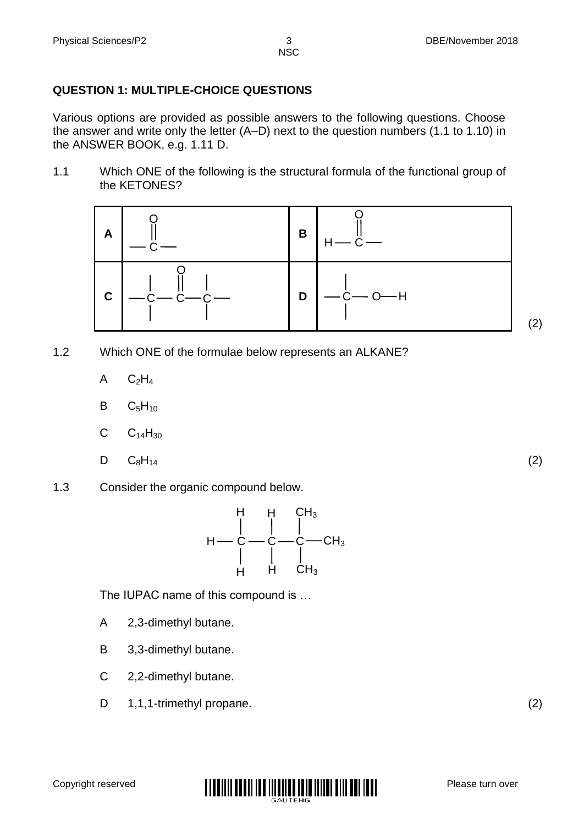# **QUESTION 1: MULTIPLE-CHOICE QUESTIONS**

Various options are provided as possible answers to the following questions. Choose the answer and write only the letter (A–D) next to the question numbers (1.1 to 1.10) in the ANSWER BOOK, e.g. 1.11 D.

1.1 Which ONE of the following is the structural formula of the functional group of the KETONES?



- 1.2 Which ONE of the formulae below represents an ALKANE?
	- A  $C<sub>2</sub>H<sub>4</sub>$
	- B  $C<sub>5</sub>H<sub>10</sub>$
	- C  $C_{14}H_{30}$
	- D  $C_8H_{14}$  (2)
- 1.3 Consider the organic compound below.



The IUPAC name of this compound is …

- A 2,3-dimethyl butane.
- B 3,3-dimethyl butane.
- C 2,2-dimethyl butane.
- D 1,1,1-trimethyl propane. (2)



(2)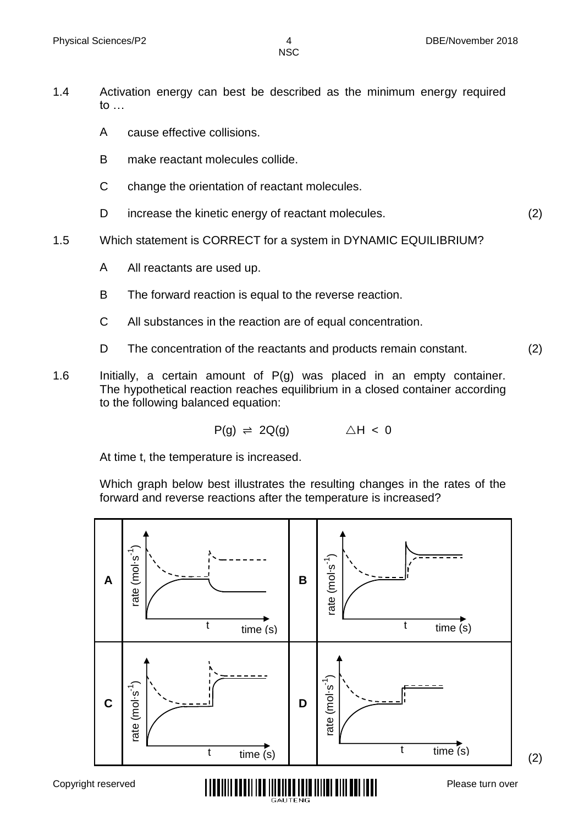- 1.4 Activation energy can best be described as the minimum energy required to …
	- A cause effective collisions.
	- B make reactant molecules collide.
	- C change the orientation of reactant molecules.
	- $\mathsf{D}$ increase the kinetic energy of reactant molecules. (2)
- 1.5 Which statement is CORRECT for a system in DYNAMIC EQUILIBRIUM?
	- A All reactants are used up.
	- B The forward reaction is equal to the reverse reaction.
	- C All substances in the reaction are of equal concentration.
	- D The concentration of the reactants and products remain constant. (2)
- 1.6 Initially, a certain amount of  $P(g)$  was placed in an empty container. The hypothetical reaction reaches equilibrium in a closed container according to the following balanced equation:

$$
P(g) \Rightarrow 2Q(g) \qquad \triangle H < 0
$$

At time t, the temperature is increased.

Which graph below best illustrates the resulting changes in the rates of the forward and reverse reactions after the temperature is increased?

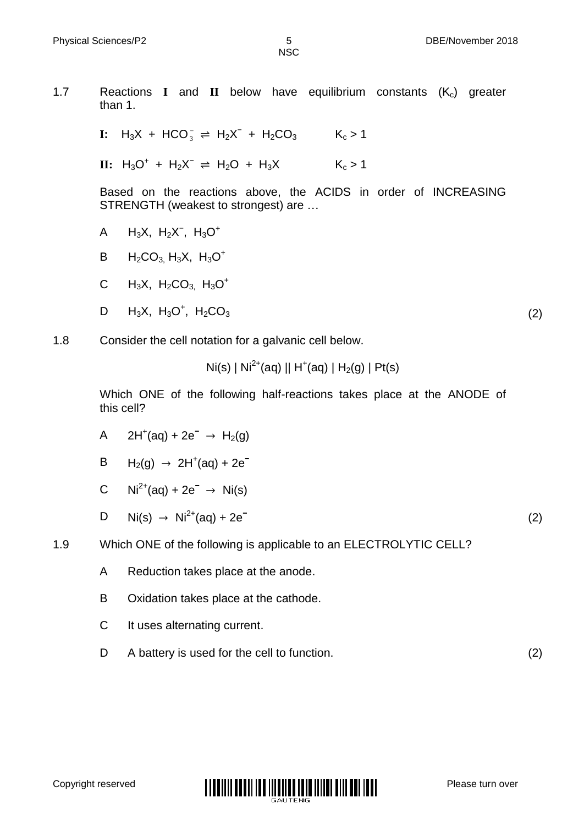1.7 Reactions **I** and **II** below have equilibrium constants  $(K<sub>c</sub>)$  greater than 1. **I:**  $H_3X + HCO_3^- \rightleftharpoons H_2X^- + H_2CO_3$   $K_c > 1$  $\textbf{II}: H_3O^+ + H_2X^- \rightleftharpoons H_2O + H_3X$   $K_c > 1$ Based on the reactions above, the ACIDS in order of INCREASING STRENGTH (weakest to strongest) are … A B C D  $H_3X$ ,  $H_2X^-$ ,  $H_3O^+$  $H_2CO_3$ ,  $H_3X$ ,  $H_3O^+$  $H_3X$ ,  $H_2CO_{3}$ ,  $H_3O^+$  $H_3X$ ,  $H_3O^+$ ,  $H_2CO_3$  (2) 1.8 Consider the cell notation for a galvanic cell below.  $\textsf{Ni}(\textsf{s}) \mid \textsf{Ni}^{2+}(\textsf{aq}) \mid \textsf{H}^+(\textsf{aq}) \mid \textsf{H}_2(\textsf{g}) \mid \textsf{Pt}(\textsf{s})$ 

Which ONE of the following half-reactions takes place at the ANODE of this cell?

- A 2H<sup>+</sup>(aq) + 2e<sup>-</sup> → H<sub>2</sub>(g)
- B H2(g) → 2H<sup>+</sup> (aq) + 2e**<sup>−</sup>**
- $\mathcal{C}$ Ni2+(aq) + 2e**<sup>−</sup>** → Ni(s)
- D Ni(s) → Ni2+(aq) + 2e**<sup>−</sup>**

1.9 Which ONE of the following is applicable to an ELECTROLYTIC CELL?

- A Reduction takes place at the anode.
- B Oxidation takes place at the cathode.
- C It uses alternating current.
- D A battery is used for the cell to function. (2)

(2)

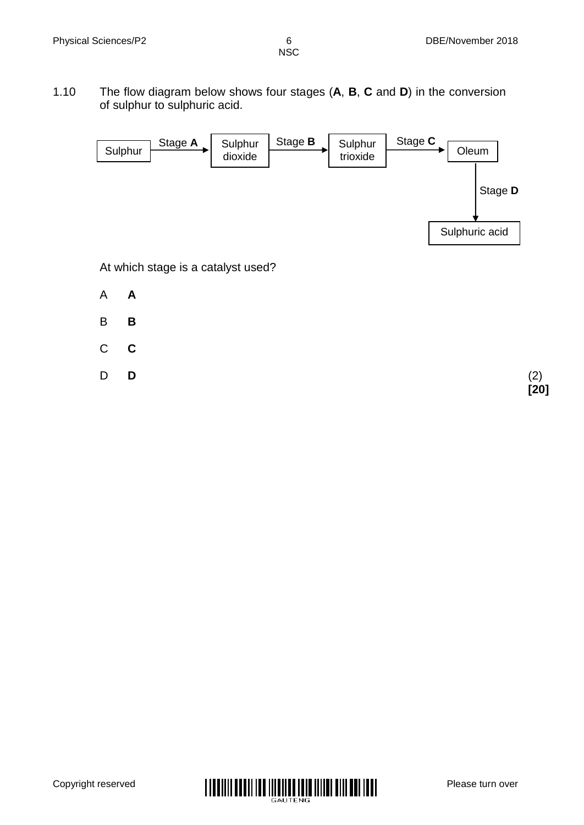1.10 The flow diagram below shows four stages (**A**, **B**, **C** and **D**) in the conversion of sulphur to sulphuric acid.



At which stage is a catalyst used?

- A **A**
- B **B**
- C **C**
- D

**D** (2) **[20]**

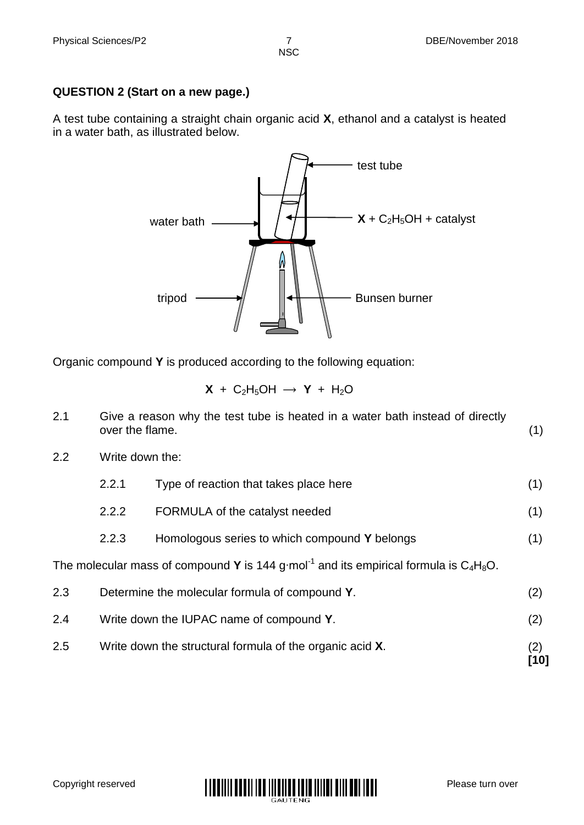#### **QUESTION 2 (Start on a new page.)**

A test tube containing a straight chain organic acid **X**, ethanol and a catalyst is heated in a water bath, as illustrated below.



Organic compound **Y** is produced according to the following equation:

 $X + C_2H_5OH \rightarrow Y + H_2O$ 

| 2.1 | over the flame. | Give a reason why the test tube is heated in a water bath instead of directly                        | (1)         |
|-----|-----------------|------------------------------------------------------------------------------------------------------|-------------|
| 2.2 | Write down the: |                                                                                                      |             |
|     | 2.2.1           | Type of reaction that takes place here                                                               | (1)         |
|     | 2.2.2           | FORMULA of the catalyst needed                                                                       | (1)         |
|     | 2.2.3           | Homologous series to which compound Y belongs                                                        | (1)         |
|     |                 | The molecular mass of compound Y is 144 g mol <sup>-1</sup> and its empirical formula is $C_4H_8O$ . |             |
| 2.3 |                 | Determine the molecular formula of compound Y.                                                       | (2)         |
| 2.4 |                 | Write down the IUPAC name of compound Y.                                                             | (2)         |
| 2.5 |                 | Write down the structural formula of the organic acid X.                                             | (2)<br>[10] |

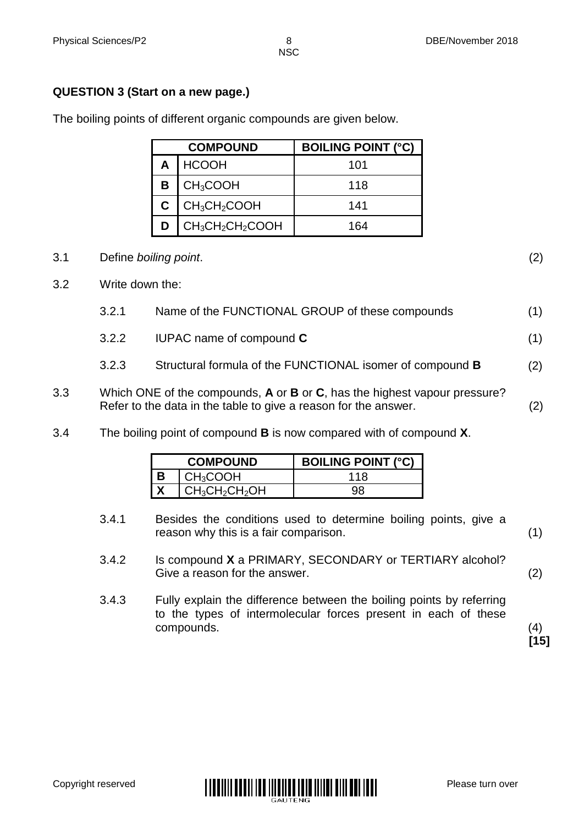#### **QUESTION 3 (Start on a new page.)**

| <b>COMPOUND</b>          | <b>BOILING POINT (°C)</b> |
|--------------------------|---------------------------|
| A   HCOOH                | 101                       |
| $B$ CH <sub>3</sub> COOH | 118                       |
| $C$   $CH3CH2COOH$       | 141                       |
| $CH_3CH_2CH_2COOH$       | 164                       |

The boiling points of different organic compounds are given below.

#### 3.1 Define *boiling point*. (2)

- 3.2 Write down the:
	- 3.2.1 Name of the FUNCTIONAL GROUP of these compounds (1) 3.2.2 IUPAC name of compound **C** (1)
		- 3.2.3 Structural formula of the FUNCTIONAL isomer of compound **B** (2)
- 3.3 Which ONE of the compounds, **A** or **B** or **C**, has the highest vapour pressure? Refer to the data in the table to give a reason for the answer. (2)
- 3.4 The boiling point of compound **B** is now compared with of compound **X**.

| <b>COMPOUND</b>              | <b>BOILING POINT (°C)</b> |
|------------------------------|---------------------------|
| $\mathsf{CH}_3\mathsf{COOH}$ | 118                       |
| $CH3CH2CH2OH$                |                           |

- 3.4.1 Besides the conditions used to determine boiling points, give a reason why this is a fair comparison. (1)
- 3.4.2 Is compound **X** a PRIMARY, SECONDARY or TERTIARY alcohol? Give a reason for the answer. (2)
- 3.4.3 Fully explain the difference between the boiling points by referring to the types of intermolecular forces present in each of these compounds. (4)

**[15]**

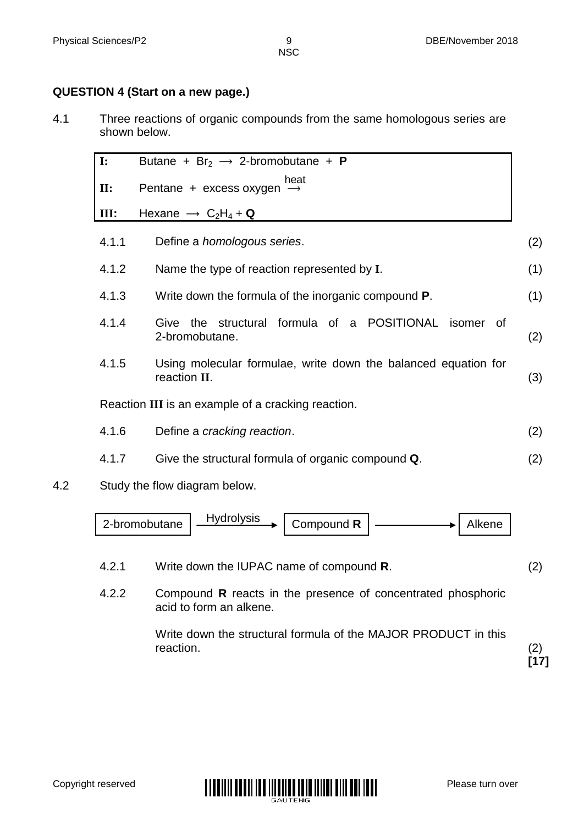#### **QUESTION 4 (Start on a new page.)**

4.1 Three reactions of organic compounds from the same homologous series are shown below.

|     | $\mathbf{I}$ : | Butane + $Br_2 \rightarrow$ 2-bromobutane + <b>P</b>                           |     |
|-----|----------------|--------------------------------------------------------------------------------|-----|
|     | $\Pi$ :        | heat<br>Pentane + excess oxygen $\rightarrow$                                  |     |
|     | III:           | Hexane $\rightarrow$ C <sub>2</sub> H <sub>4</sub> + Q                         |     |
|     | 4.1.1          | Define a <i>homologous</i> series.                                             | (2) |
|     | 4.1.2          | Name the type of reaction represented by I.                                    | (1) |
|     | 4.1.3          | Write down the formula of the inorganic compound <b>P</b> .                    | (1) |
|     | 4.1.4          | the structural formula of a POSITIONAL<br>Give<br>isomer of<br>2-bromobutane.  | (2) |
|     | 4.1.5          | Using molecular formulae, write down the balanced equation for<br>reaction II. | (3) |
|     |                | Reaction III is an example of a cracking reaction.                             |     |
|     | 4.1.6          | Define a cracking reaction.                                                    | (2) |
|     | 4.1.7          | Give the structural formula of organic compound Q.                             | (2) |
| 4.2 |                | Study the flow diagram below.                                                  |     |



- 4.2.1 Write down the IUPAC name of compound **R**. (2)
- 4.2.2 Compound **R** reacts in the presence of concentrated phosphoric acid to form an alkene.

Write down the structural formula of the MAJOR PRODUCT in this reaction. (2)



**[17]**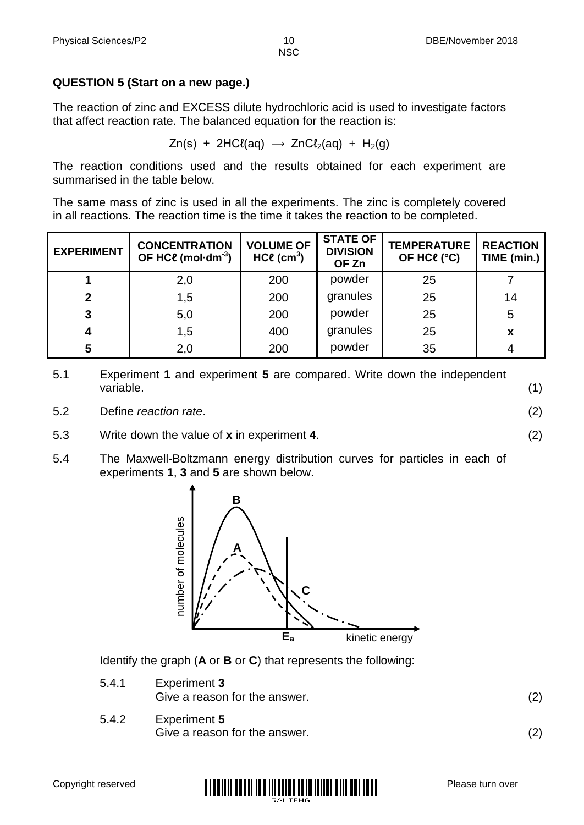#### **QUESTION 5 (Start on a new page.)**

The reaction of zinc and EXCESS dilute hydrochloric acid is used to investigate factors that affect reaction rate. The balanced equation for the reaction is:

 $Zn(s)$  + 2HCl(aq)  $\rightarrow$  ZnCl<sub>2</sub>(aq) + H<sub>2</sub>(g)

The reaction conditions used and the results obtained for each experiment are summarised in the table below.

The same mass of zinc is used in all the experiments. The zinc is completely covered in all reactions. The reaction time is the time it takes the reaction to be completed.

| <b>EXPERIMENT</b> | <b>CONCENTRATION</b><br>OF HC $\ell$ (mol·dm <sup>-3</sup> ) | <b>VOLUME OF</b><br>$HC\ell$ (cm <sup>3</sup> ) | <b>STATE OF</b><br><b>DIVISION</b><br>OF Zn | <b>TEMPERATURE</b><br>OF HC <sup>e</sup> (°C) | <b>REACTION</b><br>TIME (min.) |
|-------------------|--------------------------------------------------------------|-------------------------------------------------|---------------------------------------------|-----------------------------------------------|--------------------------------|
|                   | 2,0                                                          | 200                                             | powder                                      | 25                                            |                                |
|                   | 1,5                                                          | 200                                             | granules                                    | 25                                            | 14                             |
| 3                 | 5,0                                                          | 200                                             | powder                                      | 25                                            |                                |
|                   | 1,5                                                          | 400                                             | granules                                    | 25                                            |                                |
|                   | 2,0                                                          | 200                                             | powder                                      | 35                                            |                                |

- 5.1 Experiment **1** and experiment **5** are compared. Write down the independent variable. (1)
- 5.2 Define *reaction rate*. (2)
- 5.3 Write down the value of **x** in experiment **4**. (2)
- 5.4 The Maxwell-Boltzmann energy distribution curves for particles in each of experiments **1**, **3** and **5** are shown below.



Identify the graph (**A** or **B** or **C**) that represents the following:

- 5.4.1 Experiment **3** Give a reason for the answer. (2)
- 5.4.2 Experiment **5** Give a reason for the answer. (2)

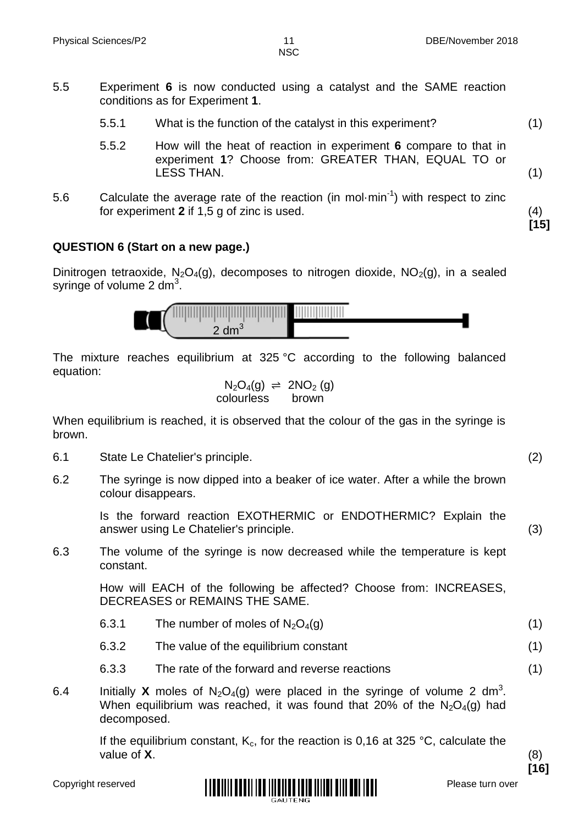- 5.5.1 What is the function of the catalyst in this experiment? (1)
- 5.5.2 How will the heat of reaction in experiment **6** compare to that in experiment **1**? Choose from: GREATER THAN, EQUAL TO or LESS THAN. (1)
- 5.6 Calculate the average rate of the reaction (in mol $\cdot$ min $^{-1}$ ) with respect to zinc for experiment **2** if 1,5 g of zinc is used. (4)

#### **QUESTION 6 (Start on a new page.)**

Dinitrogen tetraoxide,  $N_2O_4(g)$ , decomposes to nitrogen dioxide,  $NO_2(g)$ , in a sealed syringe of volume 2 dm<sup>3</sup>.



The mixture reaches equilibrium at 325 °C according to the following balanced equation:

$$
N_2O_4(g) \begin{array}{rcl} \Leftrightarrow & 2NO_2(g) \\ \text{colourless} & \text{brown} \end{array}
$$

When equilibrium is reached, it is observed that the colour of the gas in the syringe is brown.

- 6.1 State Le Chatelier's principle. (2)
- 6.2 The syringe is now dipped into a beaker of ice water. After a while the brown colour disappears.

Is the forward reaction EXOTHERMIC or ENDOTHERMIC? Explain the answer using Le Chatelier's principle. (3)

6.3 The volume of the syringe is now decreased while the temperature is kept constant.

> How will EACH of the following be affected? Choose from: INCREASES, DECREASES or REMAINS THE SAME.

- 6.3.1 The number of moles of  $N_2O_4(g)$  (1)
- 6.3.2 The value of the equilibrium constant (1)
- 6.3.3 The rate of the forward and reverse reactions (1)
- 6.4 Initially **X** moles of  $N_2O_4(g)$  were placed in the syringe of volume 2 dm<sup>3</sup>. When equilibrium was reached, it was found that 20% of the  $N_2O_4(q)$  had decomposed.

If the equilibrium constant,  $K_c$ , for the reaction is 0,16 at 325 °C, calculate the value of **X**. (8)



**[16]**

**[15]**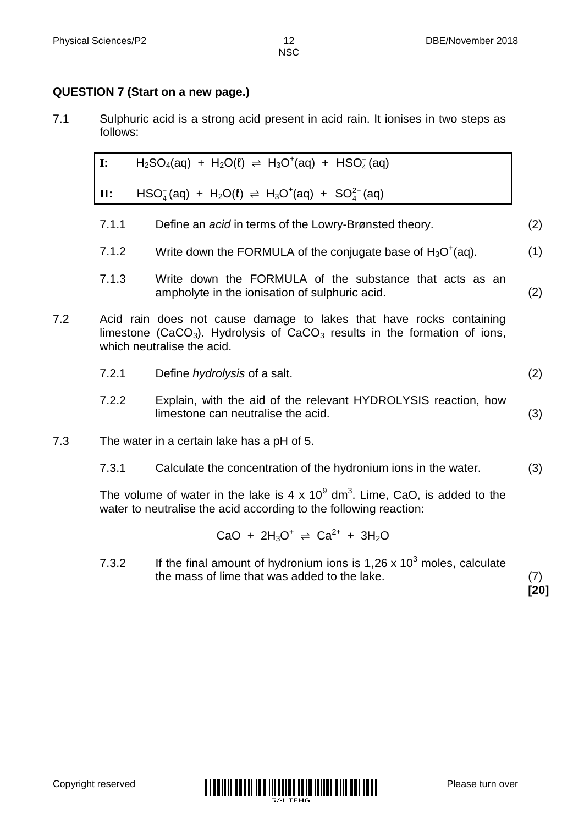#### **QUESTION 7 (Start on a new page.)**

7.1 Sulphuric acid is a strong acid present in acid rain. It ionises in two steps as follows:

I: 
$$
H_2SO_4(aq) + H_2O(\ell) \Rightarrow H_3O^+(aq) + HSO_4^-(aq)
$$
  
\nII:  $HSO_4^-(aq) + H_2O(\ell) \Rightarrow H_3O^+(aq) + SO_4^{2-}(aq)$ 

- 7.1.1 Define an *acid* in terms of the Lowry-Brønsted theory. (2)
- 7.1.2 Write down the FORMULA of the conjugate base of  $H_3O^+(aq)$ . (1)
- 7.1.3 Write down the FORMULA of the substance that acts as an ampholyte in the ionisation of sulphuric acid. (2)
- 7.2 Acid rain does not cause damage to lakes that have rocks containing limestone (CaCO<sub>3</sub>). Hydrolysis of CaCO<sub>3</sub> results in the formation of ions, which neutralise the acid.
	- 7.2.1 Define *hydrolysis* of a salt. (2)
	- 7.2.2 Explain, with the aid of the relevant HYDROLYSIS reaction, how limestone can neutralise the acid. (3)
- 7.3 The water in a certain lake has a pH of 5.
	- 7.3.1 Calculate the concentration of the hydronium ions in the water. (3)

The volume of water in the lake is 4 x  $10^9$  dm<sup>3</sup>. Lime, CaO, is added to the water to neutralise the acid according to the following reaction:

$$
CaO + 2H_3O^+ \rightleftharpoons Ca^{2+} + 3H_2O
$$

7.3.2 If the final amount of hydronium ions is  $1,26 \times 10^3$  moles, calculate the mass of lime that was added to the lake. (7)

**[20]**

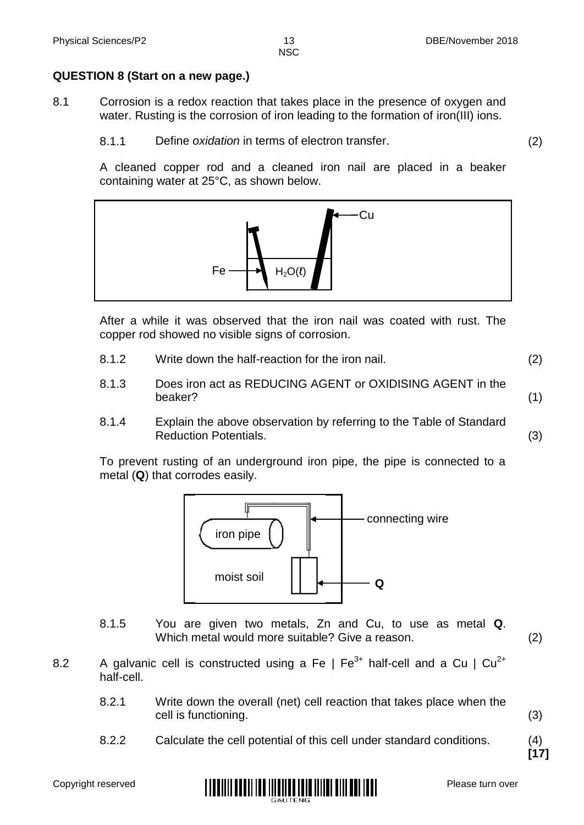#### **QUESTION 8 (Start on a new page.)**

- 8.1 Corrosion is a redox reaction that takes place in the presence of oxygen and water. Rusting is the corrosion of iron leading to the formation of iron(III) ions.
	- 8.1.1 Define *oxidation* in terms of electron transfer. (2)

A cleaned copper rod and a cleaned iron nail are placed in a beaker containing water at 25°C, as shown below.



After a while it was observed that the iron nail was coated with rust. The copper rod showed no visible signs of corrosion.

- 8.1.2 Write down the half-reaction for the iron nail. (2)
- 8.1.3 Does iron act as REDUCING AGENT or OXIDISING AGENT in the beaker? (1)
- 8.1.4 Explain the above observation by referring to the Table of Standard Reduction Potentials. (3)

To prevent rusting of an underground iron pipe, the pipe is connected to a metal (**Q**) that corrodes easily.



- 8.1.5 You are given two metals, Zn and Cu, to use as metal **Q**. Which metal would more suitable? Give a reason. (2)
- 8.2 A galvanic cell is constructed using a Fe  $\mid$  Fe<sup>3+</sup> half-cell and a Cu  $\mid$  Cu<sup>2+</sup> half-cell.
	- 8.2.1 Write down the overall (net) cell reaction that takes place when the cell is functioning. (3)
	- 8.2.2 Calculate the cell potential of this cell under standard conditions. (4)

**[17]**

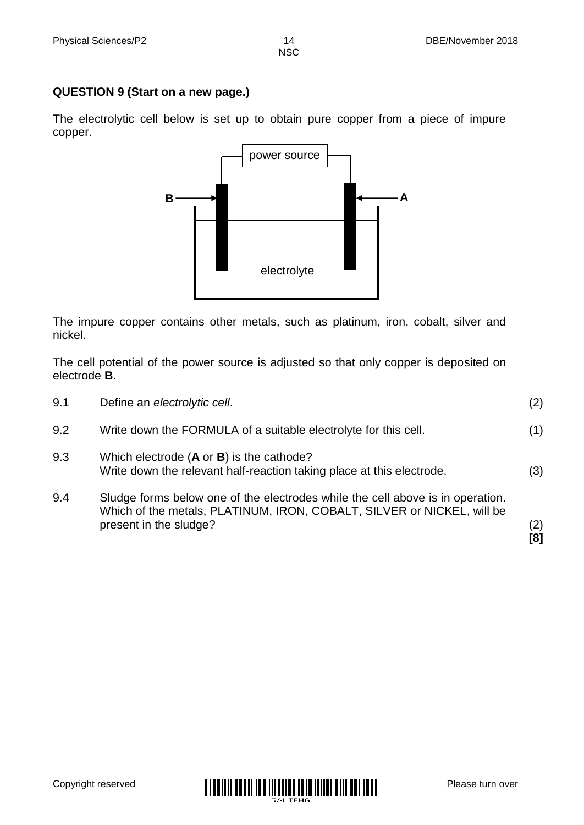#### **QUESTION 9 (Start on a new page.)**

The electrolytic cell below is set up to obtain pure copper from a piece of impure copper.



The impure copper contains other metals, such as platinum, iron, cobalt, silver and nickel.

The cell potential of the power source is adjusted so that only copper is deposited on electrode **B**.

|     | Which of the metals, PLATINUM, IRON, COBALT, SILVER or NICKEL, will be<br>present in the sludge?                             | (2)<br>[8] |
|-----|------------------------------------------------------------------------------------------------------------------------------|------------|
| 9.4 | Sludge forms below one of the electrodes while the cell above is in operation.                                               |            |
| 9.3 | Which electrode $(A \text{ or } B)$ is the cathode?<br>Write down the relevant half-reaction taking place at this electrode. | (3)        |
| 9.2 | Write down the FORMULA of a suitable electrolyte for this cell.                                                              | (1)        |
| 9.1 | Define an electrolytic cell.                                                                                                 | (2)        |

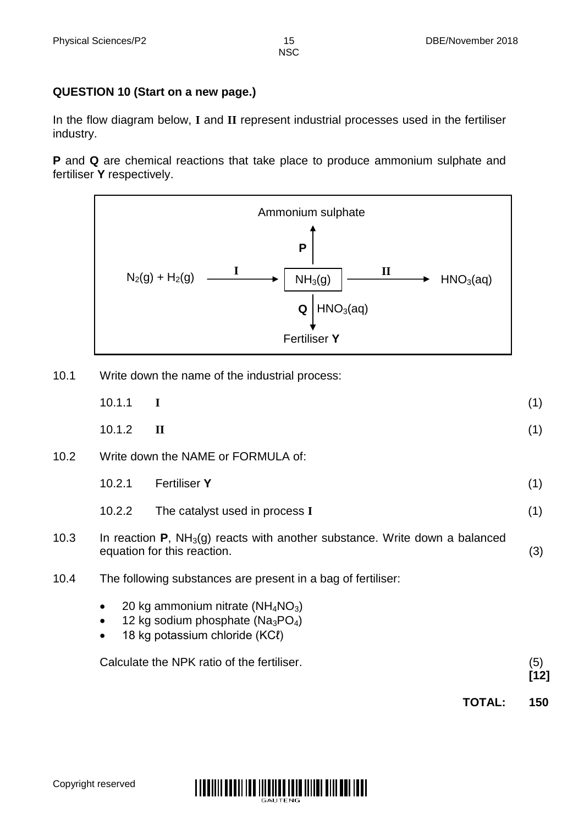# **QUESTION 10 (Start on a new page.)**

In the flow diagram below, **I** and **II** represent industrial processes used in the fertiliser industry.

**P** and **Q** are chemical reactions that take place to produce ammonium sulphate and fertiliser **Y** respectively.



10.1 Write down the name of the industrial process:

|      |           |                                                                                                                           | TOTAL: | 150         |
|------|-----------|---------------------------------------------------------------------------------------------------------------------------|--------|-------------|
|      |           | Calculate the NPK ratio of the fertiliser.                                                                                |        | (5)<br>[12] |
|      | $\bullet$ | 20 kg ammonium nitrate ( $NH_4NO_3$ )<br>12 kg sodium phosphate ( $Na_3PO_4$ )<br>18 kg potassium chloride (KCl)          |        |             |
| 10.4 |           | The following substances are present in a bag of fertiliser:                                                              |        |             |
| 10.3 |           | In reaction $P$ , NH <sub>3</sub> (g) reacts with another substance. Write down a balanced<br>equation for this reaction. |        | (3)         |
|      | 10.2.2    | The catalyst used in process I                                                                                            |        | (1)         |
|      | 10.2.1    | <b>Fertiliser Y</b>                                                                                                       |        | (1)         |
| 10.2 |           | Write down the NAME or FORMULA of:                                                                                        |        |             |
|      | 10.1.2    | $\mathbf{I}$                                                                                                              |        | (1)         |
|      | 10.1.1    | I                                                                                                                         |        | (1)         |

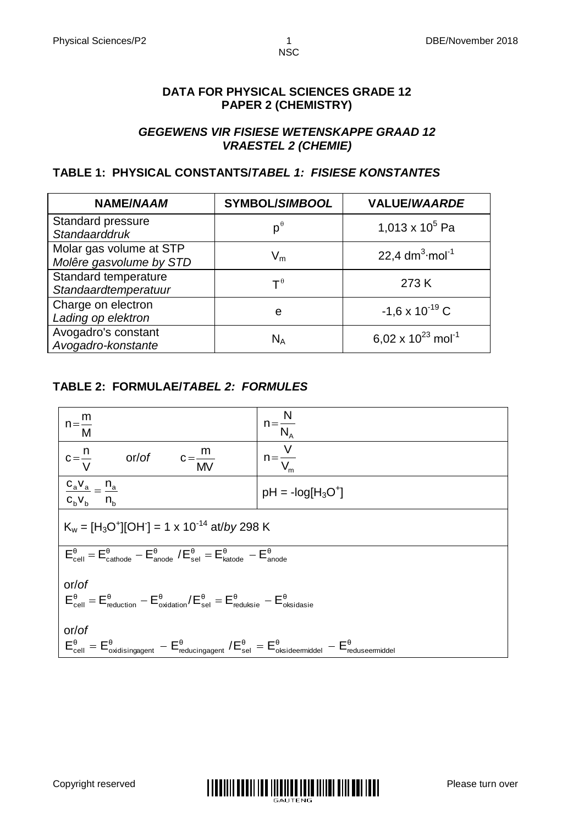#### **DATA FOR PHYSICAL SCIENCES GRADE 12 PAPER 2 (CHEMISTRY)**

#### *GEGEWENS VIR FISIESE WETENSKAPPE GRAAD 12 VRAESTEL 2 (CHEMIE)*

### **TABLE 1: PHYSICAL CONSTANTS/***TABEL 1: FISIESE KONSTANTES*

| <b>NAME/NAAM</b>                                   | <b>SYMBOL/SIMBOOL</b>                | <b>VALUE/WAARDE</b>                |
|----------------------------------------------------|--------------------------------------|------------------------------------|
| Standard pressure<br>Standaarddruk                 | $p^{\theta}$                         | 1,013 x $10^5$ Pa                  |
| Molar gas volume at STP<br>Molêre gasvolume by STD | $\mathsf{V}_{\mathsf{m}}$            | 22,4 $dm^3$ ·mol <sup>-1</sup>     |
| Standard temperature<br>Standaardtemperatuur       | $\mathsf{T}^{\hspace{0.01cm}\theta}$ | 273 K                              |
| Charge on electron<br>Lading op elektron           | e                                    | $-1.6 \times 10^{-19}$ C           |
| Avogadro's constant<br>Avogadro-konstante          | $N_A$                                | 6,02 x $10^{23}$ mol <sup>-1</sup> |

## **TABLE 2: FORMULAE/***TABEL 2: FORMULES*



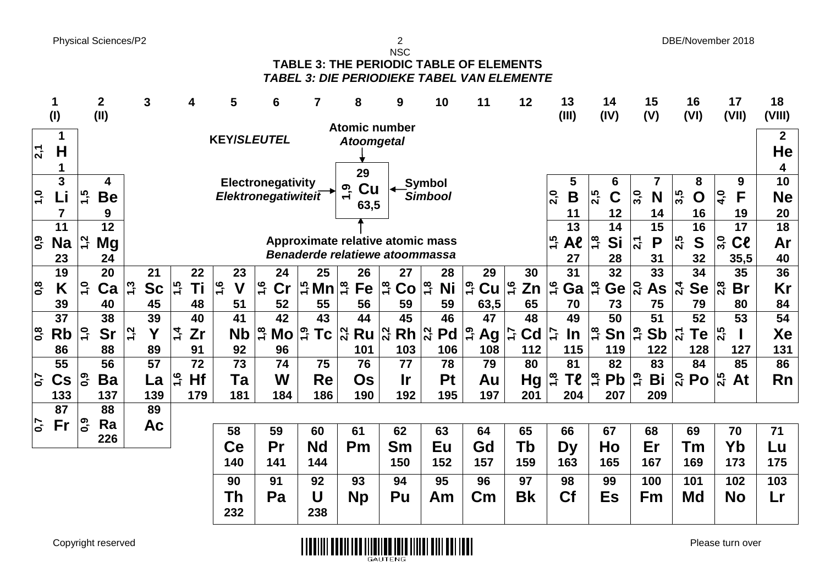Physical Sciences/P2 DBE/November 2018

NSC **TABLE 3: THE PERIODIC TABLE OF ELEMENTS** *TABEL 3: DIE PERIODIEKE TABEL VAN ELEMENTE*

|                         | 1<br>(1)        |                  | $\overline{2}$<br>(II) |                  | 3               |               |     | 5                   | 6                              | 7                              | 8                                          | 9                                           | 10                  | 11                                           | 12        | 13<br>(III)                             | 14<br>(IV)                    | 15<br>(V)                   | 16<br>(VI)                 | 17<br>(VII)                                           | 18<br>(VIII)           |
|-------------------------|-----------------|------------------|------------------------|------------------|-----------------|---------------|-----|---------------------|--------------------------------|--------------------------------|--------------------------------------------|---------------------------------------------|---------------------|----------------------------------------------|-----------|-----------------------------------------|-------------------------------|-----------------------------|----------------------------|-------------------------------------------------------|------------------------|
|                         |                 |                  |                        |                  |                 |               |     |                     |                                |                                | <b>Atomic number</b>                       |                                             |                     |                                              |           |                                         |                               |                             |                            |                                                       |                        |
| $\overline{2,1}$        | 1<br>H<br>1     |                  |                        |                  |                 |               |     | <b>KEY/SLEUTEL</b>  |                                |                                | <b>Atoomgetal</b>                          |                                             |                     |                                              |           |                                         |                               |                             |                            |                                                       | $\mathbf 2$<br>He<br>4 |
|                         | 3               |                  | 4                      |                  |                 |               |     |                     | Electronegativity              |                                | 29                                         |                                             | <b>Symbol</b>       |                                              |           | 5                                       | 6                             |                             | 8                          | 9                                                     | 10                     |
| $\frac{1}{2}$           | Li              | $\overline{1,5}$ | <b>Be</b>              |                  |                 |               |     |                     | Elektronegatiwitei $\bar{t}$   |                                | Cu<br><u>ღ</u><br>$\overline{\phantom{0}}$ |                                             | <b>Simbool</b>      |                                              |           | 2,0<br>$\mathsf B$                      | 2,5<br>$\mathbf C$            | 3,0<br>N                    | 3,5<br>$\mathbf O$         | $\overline{a}$<br>F                                   | <b>Ne</b>              |
|                         | 7               |                  | 9                      |                  |                 |               |     |                     |                                |                                | 63,5                                       |                                             |                     |                                              |           | 11                                      | 12                            | 14                          | 16                         | 19                                                    | 20                     |
|                         | 11              |                  | $\overline{12}$        |                  |                 |               |     |                     |                                |                                |                                            |                                             |                     |                                              |           | 13                                      | 14                            | 15                          | 16                         | 17                                                    | $\overline{18}$        |
| ြို့                    | <b>Na</b>       | 1,2              | Mg                     |                  |                 |               |     |                     |                                |                                | Approximate relative atomic mass           |                                             |                     |                                              |           | ن<br>15<br>Al                           | $\frac{8}{1}$<br>Si           | 2,1<br>P                    | 2,5<br>S                   | $\overline{\mathbf{3.0}}$<br>$\mathsf{C}\mathfrak{k}$ | Ar                     |
|                         | 23              |                  | 24                     |                  |                 |               |     |                     |                                |                                | Benaderde relatiewe atoommassa             |                                             |                     |                                              |           | 27                                      | 28                            | 31                          | 32                         | 35,5                                                  | 40                     |
|                         | 19              |                  | 20                     |                  | 21              |               | 22  | 23                  | 24                             | 25                             | 26                                         | 27                                          | 28                  | 29                                           | 30        | 31                                      | 32                            | 33                          | 34                         | 35                                                    | $\overline{36}$        |
| $\overline{\mathbf{0}}$ | Κ               | $\ddot{ }$       | Ca                     | 1,3              | <b>Sc</b>       | $\frac{1}{2}$ | Τi  | 1,6<br>$\mathsf{V}$ | $\frac{6}{7}$<br>$\mathsf{Cr}$ | $\frac{1}{2}$ Mn $\frac{1}{2}$ | Fe                                         | $\frac{8}{1}$<br>Co                         | $\frac{1}{2}$<br>Ni | $\ddot{5}$<br>$\mathsf{Cu} \mid \mathcal{C}$ | Zn        | 1,6<br>Ga                               | $\frac{1}{2}$<br>Ge           | $\overline{a}$<br><b>As</b> | $\frac{1}{2}$<br><b>Se</b> | $\frac{8}{2}$<br><b>Br</b>                            | Kr                     |
|                         | 39              |                  | 40                     |                  | 45              |               | 48  | 51                  | 52                             | 55                             | 56                                         | 59                                          | 59                  |                                              | 65        | 70                                      | 73                            | 75                          | 79                         | 80                                                    | 84                     |
|                         | 37              |                  | 38                     |                  | 39              |               | 40  | 41                  | 42                             | 43                             | 44                                         | 45                                          | 46                  | 63,5<br>47                                   | 48        | 49                                      | 50                            | 51                          | 52                         | 53                                                    | 54                     |
|                         |                 |                  |                        |                  |                 |               |     |                     |                                |                                |                                            |                                             |                     |                                              |           |                                         |                               |                             |                            |                                                       |                        |
| $\overline{0}$          | <b>Rb</b>       | $\overline{1}$   | <b>Sr</b>              | $\overline{1,2}$ | Y               | $\vec{a}$     | Zr  | <b>Nb</b>           | 1,8<br>Mo                      | <u>ი</u><br>1<br><b>Tc</b>     | $\overline{2,2}$<br>Ru                     | $Rh _{\alpha}^{\alpha}$<br>$\overline{2,2}$ | Pd                  | 0, 1<br>Ag                                   | Cd<br>Ĺ۳  | $\mathcal{L}^{\mathsf{t}}$<br><u>In</u> | $\overline{1,8}$<br>Sn        | <u>ှ</u><br><b>Sb</b>       | $\overline{2,1}$<br>Te     | 2,5                                                   | Xe                     |
|                         | 86              |                  | 88                     |                  | 89              |               | 91  | 92                  | 96                             |                                | 101                                        | 103                                         | 106                 | 108                                          | 112       | 115                                     | 119                           | 122                         | 128                        | 127                                                   | 131                    |
|                         | $\overline{55}$ |                  | 56                     |                  | $\overline{57}$ |               | 72  | 73                  | 74                             | 75                             | 76                                         | 77                                          | 78                  | 79                                           | 80        | 81                                      | 82                            | 83                          | 84                         | 85                                                    | 86                     |
| $\overline{0}$          | $\mathsf{Cs}$   | $\overline{6}$   | Ba                     |                  | La              | 1,6           | Hf  | Ta                  | W                              | Re                             | <b>Os</b>                                  | <u>Ir</u>                                   | <b>Pt</b>           | Au                                           | Hg        | $\ddot{1}$<br><b>Te</b>                 | $\overline{1,8}$<br><b>Pb</b> | $\ddot{6}$<br>Bi            | $\frac{1}{2}$ Po           | <b>S.S</b><br>At                                      | Rn                     |
|                         | 133             |                  | 137                    |                  | 139             |               | 179 | 181                 | 184                            | 186                            | 190                                        | 192                                         | 195                 | 197                                          | 201       | 204                                     | 207                           | 209                         |                            |                                                       |                        |
|                         | 87              |                  | 88                     |                  | 89              |               |     |                     |                                |                                |                                            |                                             |                     |                                              |           |                                         |                               |                             |                            |                                                       |                        |
| $\overline{5}$          | Fr              | <u> ၇၀</u>       | Ra                     |                  | <b>Ac</b>       |               |     | 58                  | 59                             | 60                             | 61                                         | 62                                          | 63                  | 64                                           | 65        | 66                                      | 67                            | 68                          | 69                         | 70                                                    | 71                     |
|                         |                 |                  | 226                    |                  |                 |               |     | Ce                  | Pr                             | <b>Nd</b>                      | Pm                                         | Sm                                          | Eu                  | Gd                                           | Tb        | <b>Dy</b>                               | Ho                            | Er                          | Tm                         | Yb                                                    | Lu                     |
|                         |                 |                  |                        |                  |                 |               |     | 140                 | 141                            | 144                            |                                            | 150                                         | 152                 |                                              |           |                                         | 165                           |                             | 169                        |                                                       |                        |
|                         |                 |                  |                        |                  |                 |               |     |                     |                                |                                |                                            |                                             |                     | 157                                          | 159       | 163                                     |                               | 167                         |                            | 173                                                   | 175                    |
|                         |                 |                  |                        |                  |                 |               |     | 90                  | 91                             | 92                             | 93                                         | 94                                          | 95                  | 96                                           | 97        | 98                                      | 99                            | 100                         | 101                        | 102                                                   | 103                    |
|                         |                 |                  |                        |                  |                 |               |     | Th                  | Pa                             | U                              | <b>Np</b>                                  | Pu                                          | Am                  | $\mathsf{C}$ m                               | <b>Bk</b> | <b>Cf</b>                               | Es                            | Fm                          | <b>Md</b>                  | <b>No</b>                                             | Lr                     |
|                         |                 |                  |                        |                  |                 |               |     | 232                 |                                | 238                            |                                            |                                             |                     |                                              |           |                                         |                               |                             |                            |                                                       |                        |

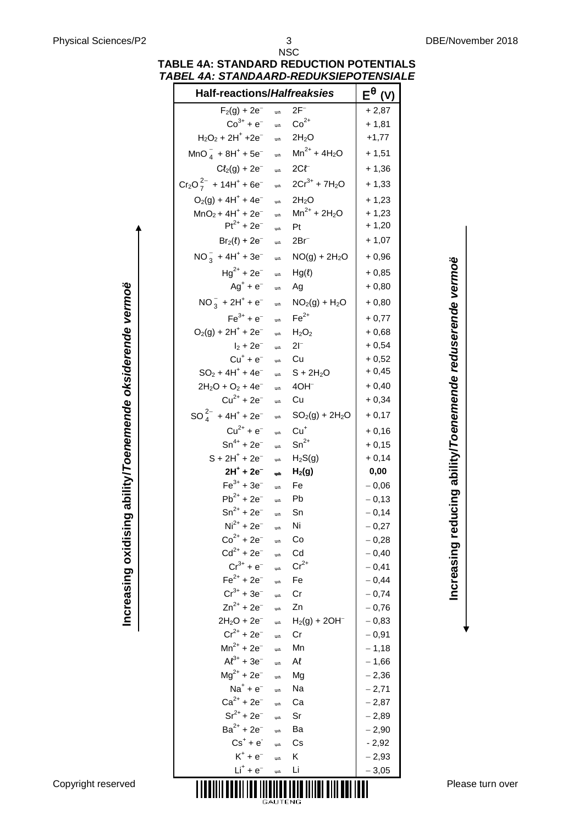| <b>Half-reactions/Halfreaksies</b>                                                                      |                                |                                                       | $E^{\theta}$ (V)   |                                                           |
|---------------------------------------------------------------------------------------------------------|--------------------------------|-------------------------------------------------------|--------------------|-----------------------------------------------------------|
| $F_2(g) + 2e^-$                                                                                         | $\Rightarrow$                  | $2F^-$                                                | $+2,87$            |                                                           |
| $Co^{3+} + e^{-}$ $\Rightarrow$ $Co^{2+}$                                                               |                                |                                                       | $+ 1,81$           |                                                           |
| $H_2O_2 + 2H^+ + 2e^ \Rightarrow$ 2H <sub>2</sub> O                                                     |                                |                                                       | $+1,77$            |                                                           |
| $MnO_4^- + 8H^+ + 5e^ \Rightarrow$ $Mn^{2+} + 4H_2O$                                                    |                                |                                                       | $+1,51$            |                                                           |
| $C\ell_2(g) + 2e^ \Rightarrow$ 2Cl <sup>-1</sup>                                                        |                                |                                                       | $+1,36$            |                                                           |
| $Cr_2O_7^{2-}$ + 14H <sup>+</sup> + 6e <sup>-</sup> $\Rightarrow$ 2Cr <sup>3+</sup> + 7H <sub>2</sub> O |                                |                                                       | $+1,33$            |                                                           |
| $O_2(g) + 4H^+ + 4e^ \Rightarrow$ 2H <sub>2</sub> O                                                     |                                |                                                       | $+1,23$            |                                                           |
| $MnO_2 + 4H^+ + 2e^ \Rightarrow$ $Mn^{2+} + 2H_2O$                                                      |                                |                                                       | $+1,23$            |                                                           |
| $Pt^{2+} + 2e^{-}$ $\Rightarrow$ Pt                                                                     |                                |                                                       | $+1,20$            |                                                           |
| $Br_2(\ell) + 2e^ \Rightarrow$ 2Br <sup>-</sup>                                                         |                                |                                                       | $+1,07$            |                                                           |
| $NO_3^- + 4H^+ + 3e^ \Rightarrow NO(g) + 2H_2O$                                                         |                                |                                                       | $+0,96$            |                                                           |
| $Hg^{2+} + 2e^ \Rightarrow$ $Hg(\ell)$                                                                  |                                |                                                       | $+0,85$            |                                                           |
| $Ag^+ + e^ \Rightarrow$ Ag                                                                              |                                |                                                       | $+0,80$            |                                                           |
| $NO_3^- + 2H^+ + e^ \Rightarrow$ $NO_2(g) + H_2O$                                                       |                                |                                                       | $+0,80$            |                                                           |
| $Fe^{3+} + e^{-}$ $\Rightarrow$ $Fe^{2+}$                                                               |                                |                                                       | $+0,77$            |                                                           |
| $O_2(g) + 2H^+ + 2e^ \Rightarrow$ $H_2O_2$                                                              |                                |                                                       | $+0,68$            |                                                           |
| $I_2 + 2e^ \Rightarrow$ 21 <sup>-</sup>                                                                 |                                |                                                       | $+0,54$            |                                                           |
| $Cu^{+} + e^{-} \Rightarrow Cu$                                                                         |                                |                                                       | $+0,52$            |                                                           |
| $SO_2 + 4H^+ + 4e^ \Rightarrow$ $S + 2H_2O$                                                             |                                |                                                       | $+0,45$            |                                                           |
| $2H_2O + O_2 + 4e^ \Rightarrow$ 40H <sup>-</sup>                                                        |                                |                                                       | $+0,40$            |                                                           |
| $Cu^{2+} + 2e^{-}$                                                                                      | $\Rightarrow$                  | Cu                                                    | $+0,34$            |                                                           |
| $SO_4^{2-}$ + 4H <sup>+</sup> + 2e <sup>-</sup>                                                         |                                | $\Rightarrow$ SO <sub>2</sub> (g) + 2H <sub>2</sub> O | $+0,17$            | Increasing reducing ability/Toenemende reduserende vermoë |
| $Cu^{2+} + e^{-}$ $\Rightarrow$ $Cu^{+}$                                                                |                                |                                                       | $+0,16$            |                                                           |
| $Sn^{4+} + 2e^ \Rightarrow$ $Sn^{2+}$                                                                   |                                |                                                       | $+0,15$            |                                                           |
| $S + 2H^{+} + 2e^{-}$ $\Rightarrow$ H <sub>2</sub> S(g)                                                 |                                |                                                       | $+0,14$            |                                                           |
| $2H^+ + 2e^-$<br>$Fe^{3+} + 3e^{-}$                                                                     | $\Rightarrow$<br>$\Rightarrow$ | H <sub>2</sub> (g)<br>Fe                              | 0,00<br>$-0,06$    |                                                           |
| $Pb^{2+} + 2e^{-}$                                                                                      | $\Rightarrow$                  | Pb                                                    | $-0,13$            |                                                           |
| $Sn^{2+} + 2e^{-}$                                                                                      | $\Rightarrow$                  | Sn                                                    | $-0,14$            |                                                           |
| $Ni2+ + 2e-$                                                                                            | $\Rightarrow$                  | Ni                                                    | $-0,27$            |                                                           |
| $Co^{2+} + 2e^{-}$                                                                                      | $\Rightarrow$                  | Co                                                    | $-0,28$            |                                                           |
| $Cd^{2+} + 2e^{-}$                                                                                      | $\Rightarrow$                  | Cd                                                    | $-0,40$            |                                                           |
| $Cr^{3+} + e^{-}$                                                                                       | $\Rightarrow$                  | $Cr^{2+}$                                             | $-0,41$            |                                                           |
| $Fe^{2+} + 2e^{-}$                                                                                      | $\Rightarrow$                  | Fe                                                    | $-0,44$            |                                                           |
| $Cr^{3+} + 3e^{-}$                                                                                      | $\Rightarrow$                  | Cr                                                    | $-0,74$            |                                                           |
| $Zn^{2+} + 2e^{-}$                                                                                      | $\Rightarrow$                  | Zn                                                    | $-0,76$            |                                                           |
| $2H_2O + 2e^-$<br>$Cr^{2+} + 2e^{-}$                                                                    | $\Rightarrow$                  | $H_2(g) + 2OH^-$                                      | $-0,83$            |                                                           |
| $Mn^{2+} + 2e^{-}$                                                                                      | $\Rightarrow$<br>$\Rightarrow$ | Cr<br>Mn                                              | $-0,91$<br>$-1,18$ |                                                           |
| $Al^{3+} + 3e^{-}$                                                                                      | $\Rightarrow$                  | Al                                                    | $-1,66$            |                                                           |
| $Mg^{2+}$ + 2e <sup>-</sup>                                                                             | $\Rightarrow$                  | Mg                                                    | $-2,36$            |                                                           |
| $Na^+ + e^-$                                                                                            | $\Rightarrow$                  | Na                                                    | $-2,71$            |                                                           |
| $Ca^{2+} + 2e^{-}$                                                                                      | $\Rightarrow$                  | Ca                                                    | $-2,87$            |                                                           |
| $Sr^{2+} + 2e^{-}$                                                                                      | $\Rightarrow$                  | Sr                                                    | $-2,89$            |                                                           |
| $Ba^{2+} + 2e^{-}$                                                                                      | $\Rightarrow$                  | Ba                                                    | $-2,90$            |                                                           |
| $Cs^+ + e^-$                                                                                            | $\Rightarrow$                  | Cs                                                    | $-2,92$            |                                                           |
| $K^+ + e^-$<br>$Li^+ + e^-$                                                                             | $\Rightarrow$                  | Κ                                                     | $-2,93$            |                                                           |
|                                                                                                         | $\Rightarrow$                  | Li                                                    | $-3,05$            |                                                           |

#### NSC **TABLE 4A: STANDARD REDUCTION POTENTIALS** *TABEL 4A: STANDAARD-REDUKSIEPOTENSIALE*